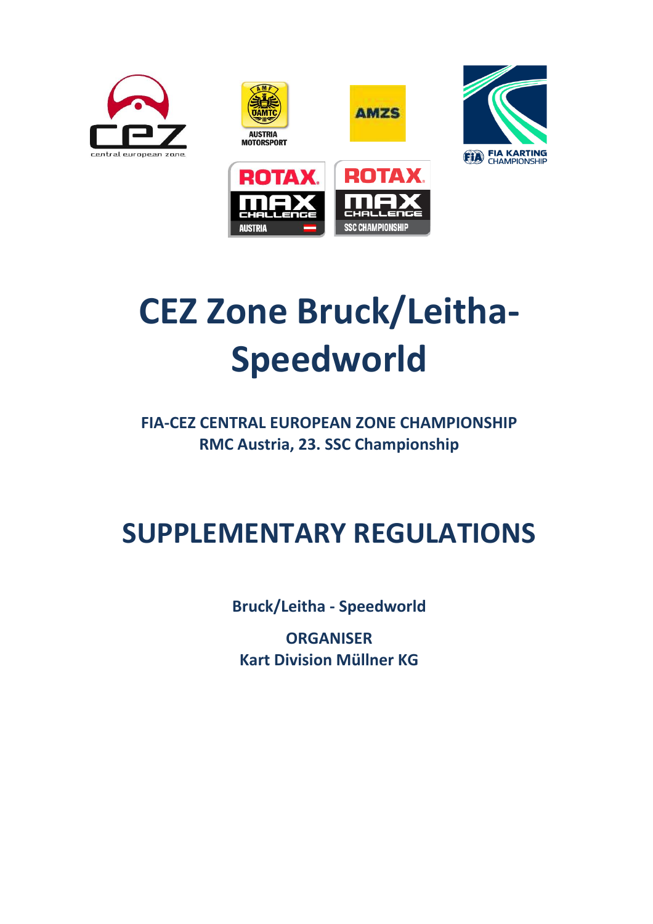









# **CEZ Zone Bruck/Leitha-Speedworld**

**FIA-CEZ CENTRAL EUROPEAN ZONE CHAMPIONSHIP RMC Austria, 23. SSC Championship**

## **SUPPLEMENTARY REGULATIONS**

**Bruck/Leitha - Speedworld**

**ORGANISER Kart Division Müllner KG**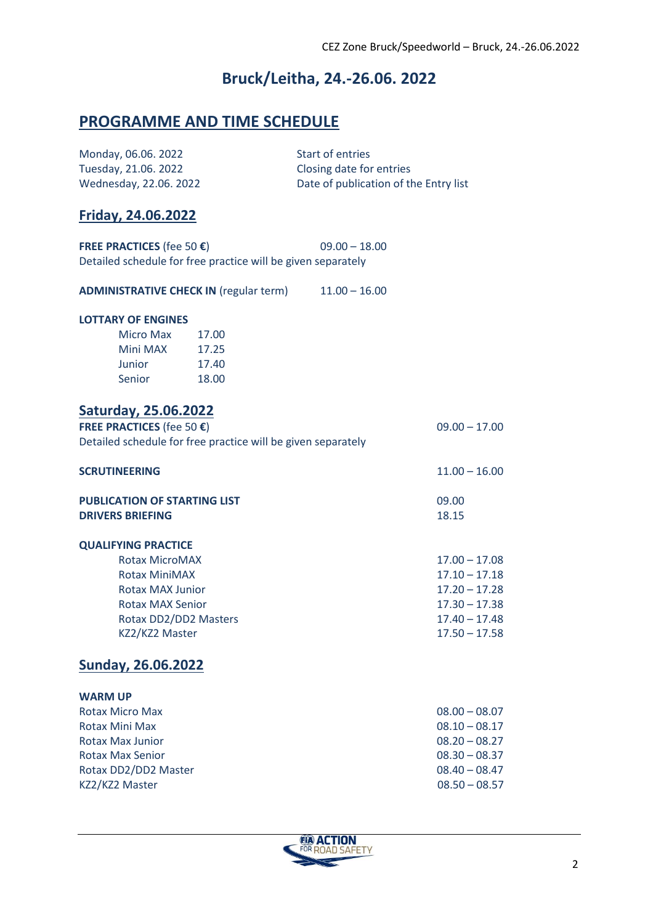## **Bruck/Leitha, 24.-26.06. 2022**

### **PROGRAMME AND TIME SCHEDULE**

| Monday, 06.06. 2022<br>Tuesday, 21.06. 2022<br>Wednesday, 22.06. 2022                               |       | <b>Start of entries</b><br>Closing date for entries<br>Date of publication of the Entry list |                 |  |  |
|-----------------------------------------------------------------------------------------------------|-------|----------------------------------------------------------------------------------------------|-----------------|--|--|
| <b>Friday, 24.06.2022</b>                                                                           |       |                                                                                              |                 |  |  |
|                                                                                                     |       | $09.00 - 18.00$                                                                              |                 |  |  |
| FREE PRACTICES (fee 50 $\epsilon$ )<br>Detailed schedule for free practice will be given separately |       |                                                                                              |                 |  |  |
| ADMINISTRATIVE CHECK IN (regular term) 11.00 - 16.00                                                |       |                                                                                              |                 |  |  |
| <b>LOTTARY OF ENGINES</b>                                                                           |       |                                                                                              |                 |  |  |
| Micro Max                                                                                           | 17.00 |                                                                                              |                 |  |  |
| Mini MAX 17.25                                                                                      |       |                                                                                              |                 |  |  |
| Junior<br>17.40                                                                                     |       |                                                                                              |                 |  |  |
| Senior                                                                                              | 18.00 |                                                                                              |                 |  |  |
| Saturday, 25.06.2022                                                                                |       |                                                                                              |                 |  |  |
| FREE PRACTICES (fee 50 €)                                                                           |       |                                                                                              | $09.00 - 17.00$ |  |  |
| Detailed schedule for free practice will be given separately                                        |       |                                                                                              |                 |  |  |
| <b>SCRUTINEERING</b>                                                                                |       |                                                                                              | $11.00 - 16.00$ |  |  |
| <b>PUBLICATION OF STARTING LIST</b>                                                                 |       |                                                                                              | 09.00           |  |  |
| <b>DRIVERS BRIEFING</b>                                                                             |       |                                                                                              | 18.15           |  |  |
| <b>QUALIFYING PRACTICE</b>                                                                          |       |                                                                                              |                 |  |  |
| <b>Rotax MicroMAX</b>                                                                               |       |                                                                                              | $17.00 - 17.08$ |  |  |
| <b>Rotax MiniMAX</b>                                                                                |       |                                                                                              | $17.10 - 17.18$ |  |  |
| <b>Rotax MAX Junior</b>                                                                             |       |                                                                                              | $17.20 - 17.28$ |  |  |
| <b>Rotax MAX Senior</b>                                                                             |       |                                                                                              | $17.30 - 17.38$ |  |  |
| Rotax DD2/DD2 Masters                                                                               |       |                                                                                              | $17.40 - 17.48$ |  |  |
| KZ2/KZ2 Master                                                                                      |       |                                                                                              | $17.50 - 17.58$ |  |  |
| <b>Sunday, 26.06.2022</b>                                                                           |       |                                                                                              |                 |  |  |
| <b>WARM UP</b>                                                                                      |       |                                                                                              |                 |  |  |
| <b>Rotax Micro Max</b>                                                                              |       |                                                                                              | $08.00 - 08.07$ |  |  |
| <b>Rotax Mini Max</b>                                                                               |       |                                                                                              | $08.10 - 08.17$ |  |  |
| <b>Rotax Max Junior</b>                                                                             |       |                                                                                              | $08.20 - 08.27$ |  |  |
| <b>Rotax Max Senior</b>                                                                             |       |                                                                                              | $08.30 - 08.37$ |  |  |
| Rotax DD2/DD2 Master                                                                                |       |                                                                                              | $08.40 - 08.47$ |  |  |
| KZ2/KZ2 Master                                                                                      |       |                                                                                              | $08.50 - 08.57$ |  |  |
|                                                                                                     |       |                                                                                              |                 |  |  |

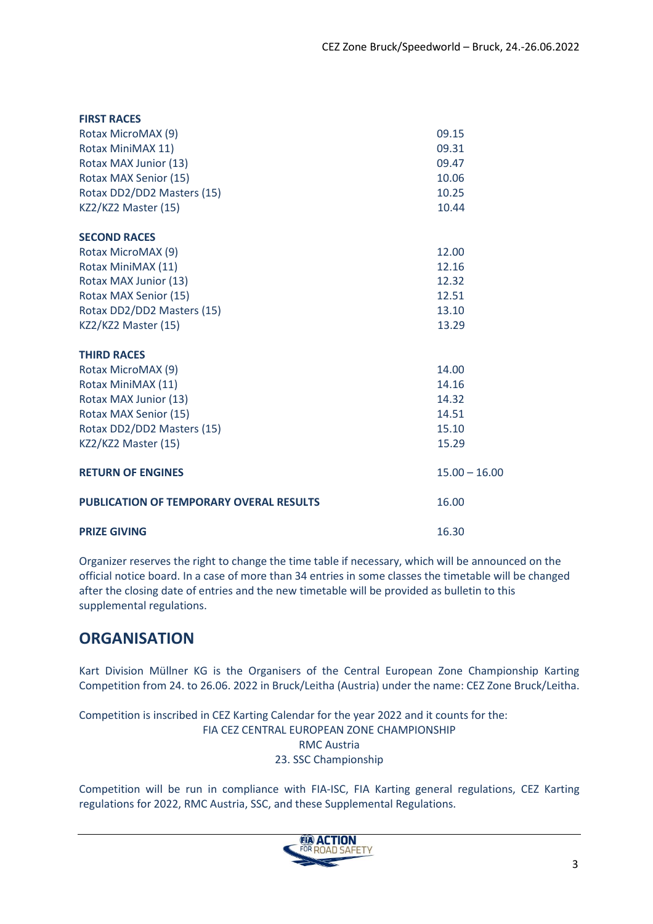| <b>FIRST RACES</b>                             |                 |
|------------------------------------------------|-----------------|
| Rotax MicroMAX (9)                             | 09.15           |
| Rotax MiniMAX 11)                              | 09.31           |
| Rotax MAX Junior (13)                          | 09.47           |
| Rotax MAX Senior (15)                          | 10.06           |
| Rotax DD2/DD2 Masters (15)                     | 10.25           |
| KZ2/KZ2 Master (15)                            | 10.44           |
| <b>SECOND RACES</b>                            |                 |
| Rotax MicroMAX (9)                             | 12.00           |
| Rotax MiniMAX (11)                             | 12.16           |
| Rotax MAX Junior (13)                          | 12.32           |
| Rotax MAX Senior (15)                          | 12.51           |
| Rotax DD2/DD2 Masters (15)                     | 13.10           |
| KZ2/KZ2 Master (15)                            | 13.29           |
| <b>THIRD RACES</b>                             |                 |
| Rotax MicroMAX (9)                             | 14.00           |
| Rotax MiniMAX (11)                             | 14.16           |
| Rotax MAX Junior (13)                          | 14.32           |
| Rotax MAX Senior (15)                          | 14.51           |
| Rotax DD2/DD2 Masters (15)                     | 15.10           |
| KZ2/KZ2 Master (15)                            | 15.29           |
| <b>RETURN OF ENGINES</b>                       | $15.00 - 16.00$ |
| <b>PUBLICATION OF TEMPORARY OVERAL RESULTS</b> | 16.00           |
| <b>PRIZE GIVING</b>                            | 16.30           |

Organizer reserves the right to change the time table if necessary, which will be announced on the official notice board. In a case of more than 34 entries in some classes the timetable will be changed after the closing date of entries and the new timetable will be provided as bulletin to this supplemental regulations.

### **ORGANISATION**

Kart Division Müllner KG is the Organisers of the Central European Zone Championship Karting Competition from 24. to 26.06. 2022 in Bruck/Leitha (Austria) under the name: CEZ Zone Bruck/Leitha.

Competition is inscribed in CEZ Karting Calendar for the year 2022 and it counts for the: FIA CEZ CENTRAL EUROPEAN ZONE CHAMPIONSHIP RMC Austria 23. SSC Championship

Competition will be run in compliance with FIA-ISC, FIA Karting general regulations, CEZ Karting regulations for 2022, RMC Austria, SSC, and these Supplemental Regulations.

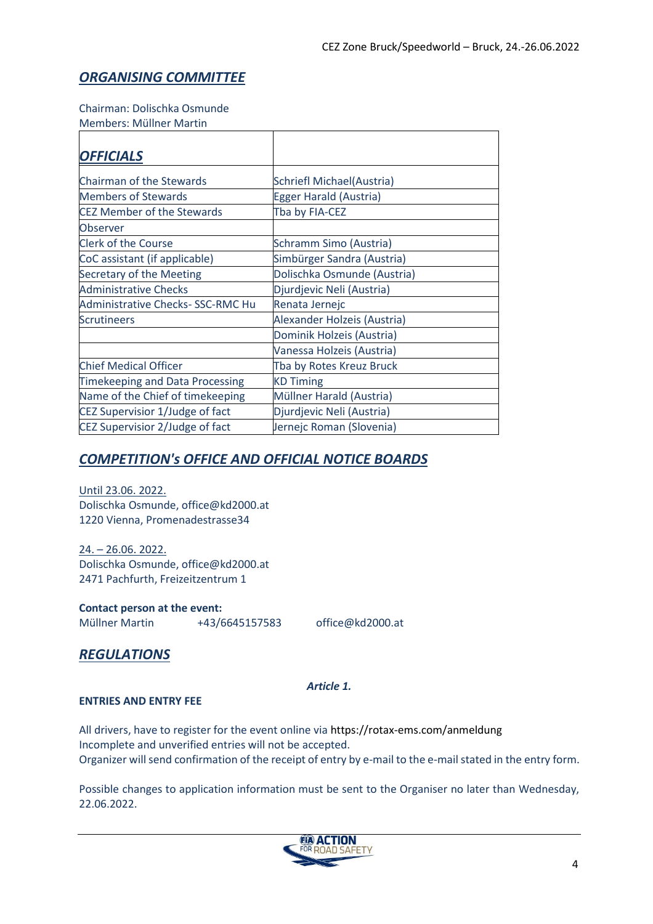#### *ORGANISING COMMITTEE*

#### Chairman: Dolischka Osmunde

Members: Müllner Martin

| <b>OFFICIALS</b>                        |                             |
|-----------------------------------------|-----------------------------|
|                                         |                             |
| Chairman of the Stewards                | Schriefl Michael(Austria)   |
| <b>Members of Stewards</b>              | Egger Harald (Austria)      |
| <b>CEZ Member of the Stewards</b>       | Tba by FIA-CEZ              |
| Observer                                |                             |
| <b>Clerk of the Course</b>              | Schramm Simo (Austria)      |
| CoC assistant (if applicable)           | Simbürger Sandra (Austria)  |
| Secretary of the Meeting                | Dolischka Osmunde (Austria) |
| <b>Administrative Checks</b>            | Djurdjevic Neli (Austria)   |
| <b>Administrative Checks-SSC-RMC Hu</b> | Renata Jernejc              |
| <b>Scrutineers</b>                      | Alexander Holzeis (Austria) |
|                                         | Dominik Holzeis (Austria)   |
|                                         | Vanessa Holzeis (Austria)   |
| <b>Chief Medical Officer</b>            | Tba by Rotes Kreuz Bruck    |
| Timekeeping and Data Processing         | <b>KD Timing</b>            |
| Name of the Chief of timekeeping        | Müllner Harald (Austria)    |
| CEZ Supervisior 1/Judge of fact         | Djurdjevic Neli (Austria)   |
| CEZ Supervisior 2/Judge of fact         | Jernejc Roman (Slovenia)    |

#### *COMPETITION's OFFICE AND OFFICIAL NOTICE BOARDS*

Until 23.06. 2022. Dolischka Osmunde, office@kd2000.at 1220 Vienna, Promenadestrasse34

24. – 26.06. 2022. Dolischka Osmunde, office@kd2000.at 2471 Pachfurth, Freizeitzentrum 1

**Contact person at the event:** Müllner Martin +43/6645157583 office@kd2000.at

#### *REGULATIONS*

#### *Article 1.*

#### **ENTRIES AND ENTRY FEE**

All drivers, have to register for the event online via https://rotax-ems.com/anmeldung Incomplete and unverified entries will not be accepted. Organizer will send confirmation of the receipt of entry by e-mail to the e-mail stated in the entry form.

Possible changes to application information must be sent to the Organiser no later than Wednesday, 22.06.2022.

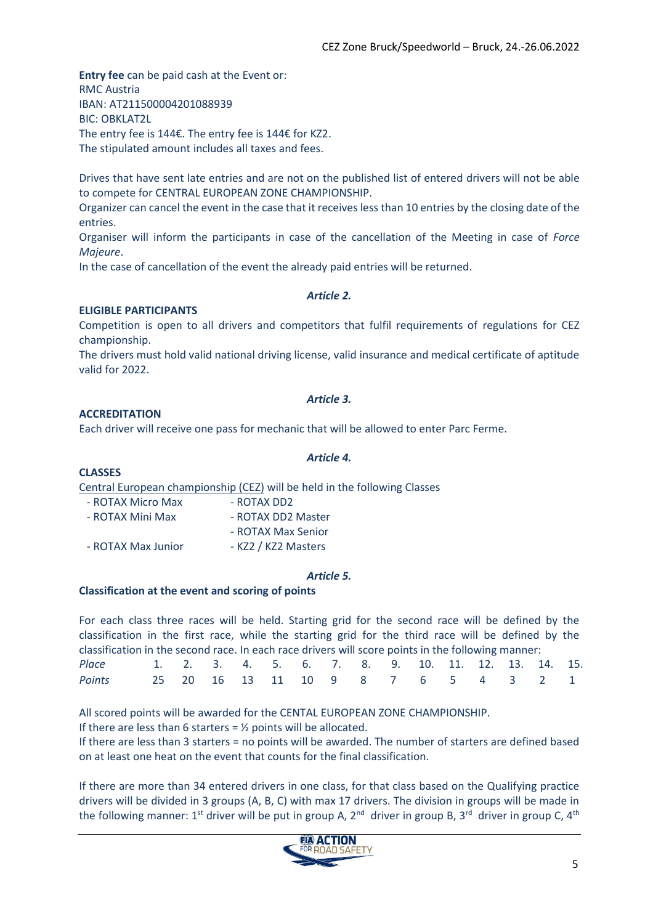**Entry fee** can be paid cash at the Event or: RMC Austria IBAN: AT211500004201088939 BIC: OBKLAT2L The entry fee is 144€. The entry fee is 144€ for KZ2. The stipulated amount includes all taxes and fees.

Drives that have sent late entries and are not on the published list of entered drivers will not be able to compete for CENTRAL EUROPEAN ZONE CHAMPIONSHIP.

Organizer can cancel the event in the case that it receives less than 10 entries by the closing date of the entries.

Organiser will inform the participants in case of the cancellation of the Meeting in case of *Force Majeure*.

In the case of cancellation of the event the already paid entries will be returned.

#### *Article 2.*

#### **ELIGIBLE PARTICIPANTS**

Competition is open to all drivers and competitors that fulfil requirements of regulations for CEZ championship.

The drivers must hold valid national driving license, valid insurance and medical certificate of aptitude valid for 2022.

#### *Article 3.*

#### **ACCREDITATION**

Each driver will receive one pass for mechanic that will be allowed to enter Parc Ferme.

#### **CLASSES**

Central European championship (CEZ) will be held in the following Classes

| - ROTAX Micro Max  | - ROTAX DD2         |
|--------------------|---------------------|
| - ROTAX Mini Max   | - ROTAX DD2 Master  |
|                    | - ROTAX Max Senior  |
| - ROTAX Max Junior | - KZ2 / KZ2 Masters |

#### *Article 5.*

#### **Classification at the event and scoring of points**

For each class three races will be held. Starting grid for the second race will be defined by the classification in the first race, while the starting grid for the third race will be defined by the classification in the second race. In each race drivers will score points in the following manner: *Place* 1. 2. 3. 4. 5. 6. 7. 8. 9. 10. 11. 12. 13. 14. 15.

| Points 25 20 16 13 11 10 9 8 7 6 5 4 3 2 1 |  |  |  |  |  |  |  |  |
|--------------------------------------------|--|--|--|--|--|--|--|--|
|                                            |  |  |  |  |  |  |  |  |

All scored points will be awarded for the CENTAL EUROPEAN ZONE CHAMPIONSHIP.

If there are less than 6 starters =  $\frac{1}{2}$  points will be allocated.

If there are less than 3 starters = no points will be awarded. The number of starters are defined based on at least one heat on the event that counts for the final classification.

If there are more than 34 entered drivers in one class, for that class based on the Qualifying practice drivers will be divided in 3 groups (A, B, C) with max 17 drivers. The division in groups will be made in the following manner: 1st driver will be put in group A, 2<sup>nd</sup> driver in group B, 3<sup>rd</sup> driver in group C, 4<sup>th</sup>



#### *Article 4.*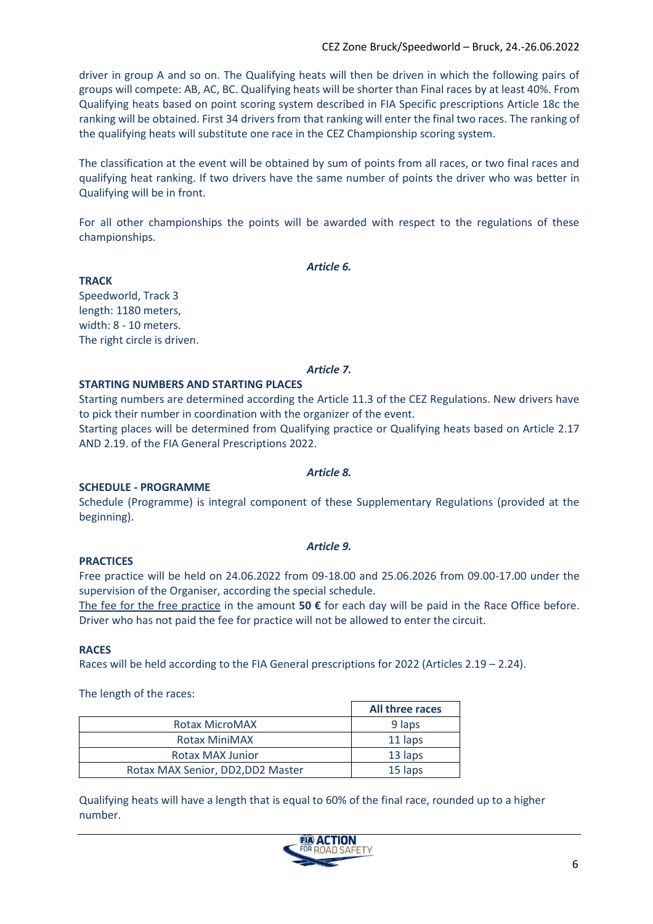driver in group A and so on. The Qualifying heats will then be driven in which the following pairs of groups will compete: AB, AC, BC. Qualifying heats will be shorter than Final races by at least 40%. From Qualifying heats based on point scoring system described in FIA Specific prescriptions Article 18c the ranking will be obtained. First 34 drivers from that ranking will enter the final two races. The ranking of the qualifying heats will substitute one race in the CEZ Championship scoring system.

The classification at the event will be obtained by sum of points from all races, or two final races and qualifying heat ranking. If two drivers have the same number of points the driver who was better in Qualifying will be in front.

For all other championships the points will be awarded with respect to the regulations of these championships.

*Article 6.*

**TRACK** Speedworld, Track 3 length: 1180 meters, width: 8 - 10 meters. The right circle is driven.

#### *Article 7.*

#### **STARTING NUMBERS AND STARTING PLACES**

Starting numbers are determined according the Article 11.3 of the CEZ Regulations. New drivers have to pick their number in coordination with the organizer of the event.

Starting places will be determined from Qualifying practice or Qualifying heats based on Article 2.17 AND 2.19. of the FIA General Prescriptions 2022.

#### *Article 8.*

#### **SCHEDULE - PROGRAMME**

Schedule (Programme) is integral component of these Supplementary Regulations (provided at the beginning).

#### *Article 9.*

#### **PRACTICES**

Free practice will be held on 24.06.2022 from 09-18.00 and 25.06.2026 from 09.00-17.00 under the supervision of the Organiser, according the special schedule.

The fee for the free practice in the amount **50 €** for each day will be paid in the Race Office before. Driver who has not paid the fee for practice will not be allowed to enter the circuit.

#### **RACES**

Races will be held according to the FIA General prescriptions for 2022 (Articles 2.19 – 2.24).

The length of the races:

|                                   | All three races |
|-----------------------------------|-----------------|
| <b>Rotax MicroMAX</b>             | 9 laps          |
| <b>Rotax MiniMAX</b>              | 11 laps         |
| <b>Rotax MAX Junior</b>           | 13 laps         |
| Rotax MAX Senior, DD2, DD2 Master | 15 laps         |

Qualifying heats will have a length that is equal to 60% of the final race, rounded up to a higher number.

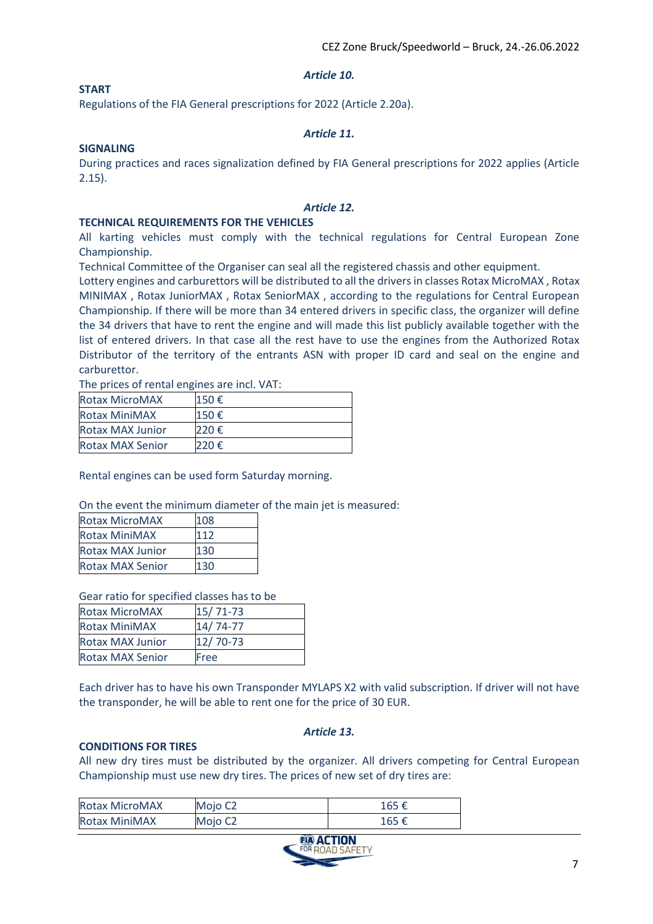#### *Article 10.*

#### **START**

Regulations of the FIA General prescriptions for 2022 (Article 2.20a).

#### *Article 11.*

#### **SIGNALING**

During practices and races signalization defined by FIA General prescriptions for 2022 applies (Article 2.15).

#### *Article 12.*

#### **TECHNICAL REQUIREMENTS FOR THE VEHICLES**

All karting vehicles must comply with the technical regulations for Central European Zone Championship.

Technical Committee of the Organiser can seal all the registered chassis and other equipment.

Lottery engines and carburettors will be distributed to all the drivers in classes Rotax MicroMAX , Rotax MINIMAX , Rotax JuniorMAX , Rotax SeniorMAX , according to the regulations for Central European Championship. If there will be more than 34 entered drivers in specific class, the organizer will define the 34 drivers that have to rent the engine and will made this list publicly available together with the list of entered drivers. In that case all the rest have to use the engines from the Authorized Rotax Distributor of the territory of the entrants ASN with proper ID card and seal on the engine and carburettor.

The prices of rental engines are incl. VAT:

| <b>Rotax MicroMAX</b>   | 150€ |
|-------------------------|------|
| Rotax MiniMAX           | 150€ |
| <b>Rotax MAX Junior</b> | 220€ |
| <b>Rotax MAX Senior</b> | 220€ |

Rental engines can be used form Saturday morning.

On the event the minimum diameter of the main jet is measured:

| <b>Rotax MicroMAX</b>   | 108 |
|-------------------------|-----|
| <b>Rotax MiniMAX</b>    | 112 |
| <b>Rotax MAX Junior</b> | 130 |
| <b>Rotax MAX Senior</b> | 130 |

Gear ratio for specified classes has to be

| <b>Rotax MicroMAX</b>   | 15/71-73 |
|-------------------------|----------|
| <b>Rotax MiniMAX</b>    | 14/74-77 |
| <b>Rotax MAX Junior</b> | 12/70-73 |
| <b>Rotax MAX Senior</b> | Free     |

Each driver has to have his own Transponder MYLAPS X2 with valid subscription. If driver will not have the transponder, he will be able to rent one for the price of 30 EUR.

#### *Article 13.*

#### **CONDITIONS FOR TIRES**

All new dry tires must be distributed by the organizer. All drivers competing for Central European Championship must use new dry tires. The prices of new set of dry tires are:

| <b>Rotax MicroMAX</b> | Mojo C <sub>2</sub> | 165 € |
|-----------------------|---------------------|-------|
| <b>Rotax MiniMAX</b>  | Mojo C <sub>2</sub> | 165 € |

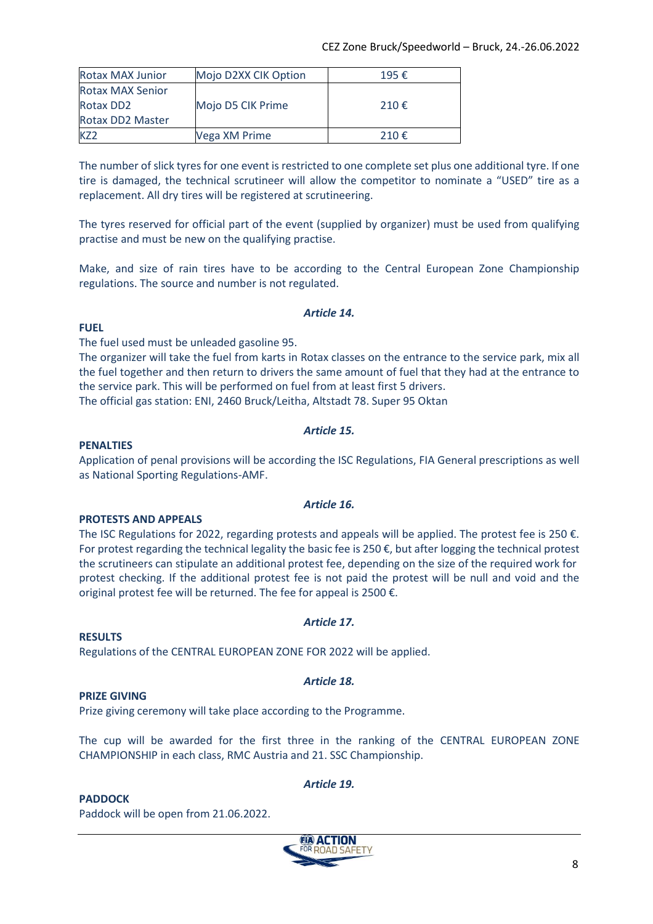| <b>Rotax MAX Junior</b> | Mojo D2XX CIK Option | 195€  |
|-------------------------|----------------------|-------|
| <b>Rotax MAX Senior</b> |                      |       |
| Rotax DD2               | Mojo D5 CIK Prime    | 210 € |
| <b>Rotax DD2 Master</b> |                      |       |
|                         | Vega XM Prime        | 210€  |

The number of slick tyres for one event is restricted to one complete set plus one additional tyre. If one tire is damaged, the technical scrutineer will allow the competitor to nominate a "USED" tire as a replacement. All dry tires will be registered at scrutineering.

The tyres reserved for official part of the event (supplied by organizer) must be used from qualifying practise and must be new on the qualifying practise.

Make, and size of rain tires have to be according to the Central European Zone Championship regulations. The source and number is not regulated.

#### *Article 14.*

#### **FUEL**

The fuel used must be unleaded gasoline 95.

The organizer will take the fuel from karts in Rotax classes on the entrance to the service park, mix all the fuel together and then return to drivers the same amount of fuel that they had at the entrance to the service park. This will be performed on fuel from at least first 5 drivers.

The official gas station: ENI, 2460 Bruck/Leitha, Altstadt 78. Super 95 Oktan

#### *Article 15.*

#### **PENALTIES**

Application of penal provisions will be according the ISC Regulations, FIA General prescriptions as well as National Sporting Regulations-AMF.

#### **PROTESTS AND APPEALS**

The ISC Regulations for 2022, regarding protests and appeals will be applied. The protest fee is 250 €. For protest regarding the technical legality the basic fee is 250  $\epsilon$ , but after logging the technical protest the scrutineers can stipulate an additional protest fee, depending on the size of the required work for protest checking. If the additional protest fee is not paid the protest will be null and void and the original protest fee will be returned. The fee for appeal is 2500 €.

#### **RESULTS**

Regulations of the CENTRAL EUROPEAN ZONE FOR 2022 will be applied.

#### **PRIZE GIVING**

Prize giving ceremony will take place according to the Programme.

The cup will be awarded for the first three in the ranking of the CENTRAL EUROPEAN ZONE CHAMPIONSHIP in each class, RMC Austria and 21. SSC Championship.

*Article 19.*

#### **PADDOCK**

Paddock will be open from 21.06.2022.



#### *Article 16.*

#### *Article 17.*

#### *Article 18.*